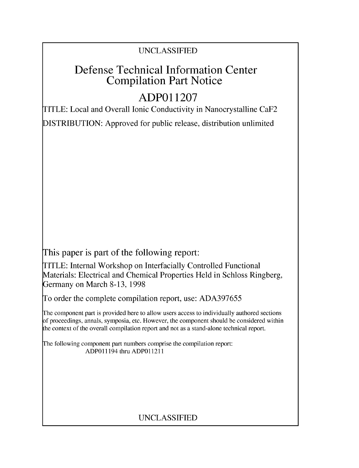# UNCLASSIFIED

# Defense Technical Information Center Compilation Part Notice

# **ADPO 11207**

TITLE: Local and Overall Ionic Conductivity in Nanocrystalline CaF2

DISTRIBUTION: Approved for public release, distribution unlimited

This paper is part of the following report:

TITLE: Internal Workshop on Interfacially Controlled Functional Materials: Electrical and Chemical Properties Held in Schloss Ringberg, Germany on March 8-13, 1998

To order the complete compilation report, use: ADA397655

The component part is provided here to allow users access to individually authored sections f proceedings, annals, symposia, etc. However, the component should be considered within [he context of the overall compilation report and not as a stand-alone technical report.

The following component part numbers comprise the compilation report: ADPO11194 thru ADP011211

# UNCLASSIFIED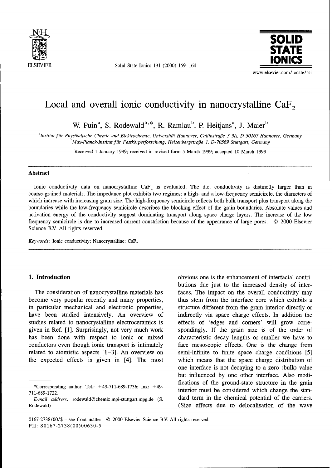

**ELSEVIER** Solid State Ionics 131 (2000) 159-164



## Local and overall ionic conductivity in nanocrystalline  $CaF<sub>2</sub>$

<sup>a</sup> Institut für Physikalische Chemie und Elektrochemie, Universität Hannover, Callinstraße 3-3A, D-30167 Hannover, Germany

*bMax-Planck-Institut fiir Festk6rperforschung, Heisenbergstrafle 1, D- 70569 Stuttgart, Germany*

Received 1 January 1999; received in revised form 5 March 1999; accepted 10 March 1999

### Abstract

Ionic conductivity data on nanocrystalline CaF<sub>2</sub> is evaluated. The d.c. conductivity is distinctly larger than in coarse-grained materials. The impedance plot exhibits two regimes: a high- and a low-frequency semicircle, the diameters of which increase with increasing grain size. The high-frequency semicircle reflects both bulk transport plus transport along the boundaries while the low-frequency semicircle describes the blocking effect of the grain boundaries. Absolute values and activation energy of the conductivity suggest dominating transport along space charge layers. The increase of the low frequency semicircle is due to increased current constriction because of the appearance of large pores. © 2000 Elsevier Science B.V. All rights reserved.

*Keywords:* Ionic conductivity; Nanocrystalline; CaF<sub>2</sub>

become very popular recently and many properties, thus stem from the interface core which exhibits a in particular mechanical and electronic properties, structure different from the grain interior directly or have been studied intensively. An overview of indirectly via space charge effects. In addition the studies related to nanocrystalline electroceramics is effects of 'edges and comers' will grow corregiven in Ref. [1]. Surprisingly, not very much work spondingly. If the grain size is of the order of has been done with respect to ionic or mixed characteristic decay lengths or smaller we have to conductors even though ionic transport is intimately face mesoscopic effects. One is the change from related to atomistic aspects [1-3]. An overview on semi-infinite to finite space charge conditions [5] the expected effects is given in [4]. The most which means that the space charge distribution of

**1. Introduction 1. Introduction** obvious one is the enhancement of interfacial contributions due just to the increased density of inter-The consideration of nanocrystalline materials has faces. The impact on the overall conductivity may one interface is not decaying to a zero (bulk) value but influenced by one other interface. Also modifications of the ground-state structure in the grain<br>\*Corresponding author. Tel.: +49-711-689-1736; fax: +49-<br>interior must be considered which there a the stan- $711-689-1722$ . corresponding author. Fermi-149-711-689-1730, Tax.  $\frac{4}{3}$  interior must be considered which change the stan-*E-mail address:* rodewald@chemix.mpi-stuttgart.mpg.de (S. dard term in the chemical potential of the carriers.

Rodewald) (Size effects due to delocalisation of the wave

<sup>0167-2738/00/\$ -</sup> see front matter © 2000 Elsevier Science BY. All rights reserved. PII: S0167-2738(00)00630-5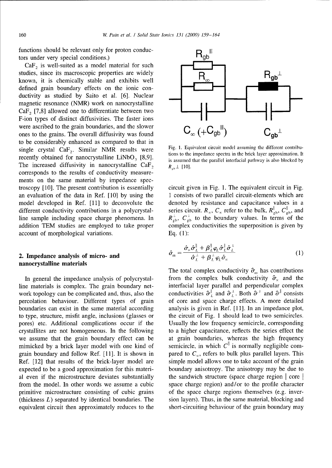functions should be relevant only for proton conduc-<br>tors under very special conditions.) tors under very special conditions.) **gb**

 $CaF<sub>2</sub>$  is well-suited as a model material for such studies, since its macroscopic properties are widely<br>Lactum it is chamically stable and exhibits well  $R_{\infty}$   $R_{\text{gb}}$ known, it is chemically stable and exhibits well defined grain boundary effects on the ionic conductivity as studied by Saito et al. [6]. Nuclear magnetic resonance (NMR) work on nanocrystalline  $CaF<sub>2</sub>$  [7,8] allowed one to differentiate between two F-ion types of distinct diffusivities. The faster ions were ascribed to the grain boundaries, and the slower  $C_{\infty}$   $(+C_{gb}^{||})$ <br>ones to the grains. The overall diffusivity was found ones to the grains. The overall diffusivity was found + **bo**  to be considerably enhanced as compared to that in single crystal  $\text{CaF}_2$ . Similar NMR results were Fig. 1. Equivalent circuit model assuming the different contriburecently obtained for nanocrystalline LiNbO<sub>3</sub> [8,9]. The increased diffusivity in nanocrystalline  $\text{CaF}_2$  *R<sub>rb</sub>*  $\perp$  [10]. corresponds to the results of conductivity measurements on the same material by impedance spectroscopy [10]. The present contribution is essentially circuit given in Fig. 1. The equivalent circuit in Fig. an evaluation of the data in Ref. [10] by using the 1 consists of two parallel circuit-elements which are model developed in Ref. [11] to deconvolute the denoted by resistance and capacitance values in a different conductivity contributions in a polycrystal-<br>series circuit.  $R_x$ ,  $C_x$  refer to the bulk,  $R_{\text{gb}}^{\parallel}$ ,  $C_{\text{gb}}^{\parallel}$ , and line sample including space charge phenomena. In  $R_{ab}^{\perp}$ ,  $C_{ab}^{\perp}$  to the boundary values. In terms of the addition TEM studies are employed to take proper complex conductivities the superposition is given by account of morphological variations. Eq. (1):

### 2. Impedance analysis of micro- and nanocrystalline materials

line materials is complex. The grain boundary net-<br>interfacial layer parallel and perpendicular complex work topology can be complicated and, thus, also the conductivities  $\hat{\sigma}_L^{\parallel}$  and  $\hat{\sigma}_L^{\perp}$ . Both  $\hat{\sigma}^{\perp}$  and  $\hat{\sigma}^{\parallel}$  consists percolation behaviour. Different types of grain of core and space charge effects. A more detailed boundaries can exist in the same material according analysis is given in Ref. [11]. In an impedance plot, to type, structure, misfit angle, inclusions (glasses or the circuit of Fig. 1 should lead to two semicircles. pores) etc. Additional complications occur if the Usually the low frequency semicircle, corresponding crystallites are not homogeneous. In the following to a higher capacitance, reflects the series effect the we assume that the grain boundary effect can be at grain boundaries, whereas the high frequency mimicked by a brick layer model with one kind of grain boundary and follow Ref. [11]. It is shown in pared to  $C_z$ , refers to bulk plus parallel layers. This Ref. [12] that results of the brick-layer model are simple model allows one to take account of the grain expected to be a good approximation for this materi- boundary anisotropy. The anisotropy may be due to al even if the microstructure deviates substantially the sandwich structure (space charge region **I** core **I** from the model. In other words we assume a cubic space charge region) and/or to the profile character primitive microstructure consisting of cubic grains of the space charge regions themselves (e.g. inver- (thickness  $L$ ) separated by identical boundaries. The sion layers). Thus, in the same material, blocking and equivalent circuit then approximately reduces to the short-circuiting behaviour of the grain boundary may



is assumed that the parallel interfacial pathway is also blocked by

2. Impedance analysis of micro- and 
$$
\hat{\sigma}_{\text{m}} = \frac{\hat{\sigma}_{\text{x}} \hat{\sigma}_{\text{L}}^{\parallel} + \beta_{\text{L}}^{\parallel} \varphi_{\text{L}} \hat{\sigma}_{\text{L}}^{\perp}}{\hat{\sigma}_{\text{L}}^{\perp} + \beta_{\text{L}}^{\perp} \varphi_{\text{L}} \hat{\sigma}_{\text{x}}}
$$
(1)

The total complex conductivity  $\hat{\sigma}_{m}$  has contributions In general the impedance analysis of polycrystal- from the complex bulk conductivity  $\hat{\sigma}_z$  and the semicircle, in which  $C^{\parallel}$  is normally negligible com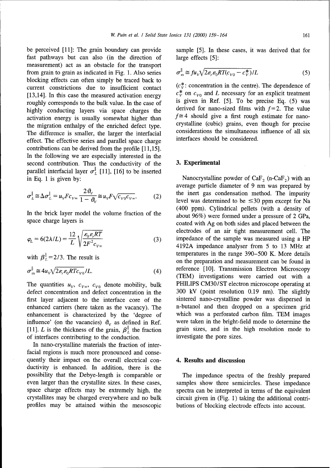be perceived [11]: The grain boundary can provide sample [5]. In these cases, it was derived that for fast pathways but can also (in the direction of large effects [5]: measurement) act as an obstacle for the transport from grain to grain as indicated in Fig. 1. Also series blocking effects can often simply be traced back to current constrictions due to insufficient contact  $(c_v^*)$ : concentration in the centre). The dependence of<br>
[13.14] In this case the measured activation energy  $c_v^*$  on  $c_{v0}$  and L necessary for an explicit treatment [13,14]. In this case the measured activation energy  $c_v^{\text{tot}}$  on  $c_{v0}$  and *L* necessary for an explicit treatment roughly corresponds to the bulk value. In the case of is given in Ref. [5]. To be precise Eq. (5) was roughly corresponds to the bulk value. In the case of highly conducting layers via space charges the derived for nano-sized films with  $f=2$ . The value<br>activation energy is usually somewhat higher than  $f \approx 4$  should give a first rough estimate for nanoactivation energy is usually somewhat higher than  $f=4$  should give a first rough estimate for nano-<br>the migration enthalpy of the enriched defect type crystalline (cubic) grains, even though for precise the migration enthalpy of the enriched defect type. The difference is smaller, the larger the interfacial considerations the simultaneous influence of all six effect. The effective exists and parallel energy interfaces should be considered. effect. The effective series and parallel space charge contributions can be derived from the profile [11,15]. In the following we are especially interested in the second contribution. Thus the conductivity of the **3. Experimental** parallel interfacial layer  $\sigma_{L}^{\parallel}$  [11], [16] to be inserted

$$
\sigma_L^{\parallel} \cong \Delta \sigma_L^{\parallel} = u_V F c_{V\infty} \frac{2 \vartheta_V}{1 - \vartheta_V} \cong u_V F \sqrt{c_{V0} c_{V\infty}}.
$$
 (2)

$$
\varphi_L = 6(2\lambda/L) = \frac{12}{L} \sqrt{\frac{\varepsilon_0 \varepsilon_r RT}{2F^2 c_{V_{\infty}}}}
$$
(3)

$$
\sigma_{\rm m}^{\parallel} \cong 4u_{\rm v} \sqrt{2\varepsilon_{\rm r}\varepsilon_0 RT c_{\rm v_0}}/L. \tag{4}
$$

defect concentration and defect concentration in the 300 kV (point resolution 0.19 nm). The slightly first layer adjacent to the interface core of the sintered nano-crystalline powder was dispersed in enhanced carriers (here taken as the vacancy). The n-butanol and then dropped on a specimen grid enhancement is characterized by the 'degree of which was a perforated carbon film. TEM images influence' (on the vacancies)  $\vartheta_{\rm v}$  as defined in Ref. were taken in the bright-field mode to determine the [11]. L is the thickness of the grain,  $\beta_1^{\parallel}$  the fraction grain sizes, and in the high resolution mode to of interfaces contributing to the conduction. investigate the pore sizes.

In nano-crystalline materials the fraction of interfacial regions is much more pronounced and consequently their impact on the overall electrical con-<br>4. Results and discussion ductivity is enhanced. In addition, there is the possibility that the Debye-length is comparable or The impedance spectra of the freshly prepared even larger than the crystallite sizes. In these cases, samples show three semicircles. These impedance space charge effects may be extremely high, the spectra can be interpreted in terms of the equivalent crystallites may be charged everywhere and no bulk circuit given in (Fig. 1) taking the additional contriprofiles may be attained within the mesoscopic butions of blocking electrode effects into account.

$$
\sigma_{\rm m}^{\parallel} \approx f u_{\rm V} \sqrt{2 \varepsilon_{\rm F} \varepsilon_0 R T (c_{\rm V0} - c_{\rm V}^*)} / L \tag{5}
$$

in Eq. 1 is given by: Nanocrystalline powder of  $\text{CaF}_2$  (n-CaF<sub>2</sub>) with an average particle diameter of 9 nm was prepared by the inert gas condensation method. The impurity level was determined to be  $\leq 30$  ppm except for Na In the brick layer model the volume fraction of the  $(400 \text{ ppm})$ . Cylindrical pellets (with a density of about 96%) were formed under a pressure of 2 GPa, space charge layers is coated with Ag on both sides and placed between the electrodes of an air tight measurement cell. The <sup>2</sup> impedance of the sample was measured using a HP *4*192A impedance analyser from 5 to 13 MHz at with  $\beta_1^{\parallel} = 2/3$ . The result is temperatures in the range 390–500 K. More details on the preparation and measurement can be found in reference [10]. Transmission Electron Microscopy<br>(TEM) investigations were carried out with a The quantities  $u_v$ ,  $c_{v_\infty}$ ,  $c_{v_0}$  denote mobility, bulk PHILIPS CM30/ST electron microscope operating at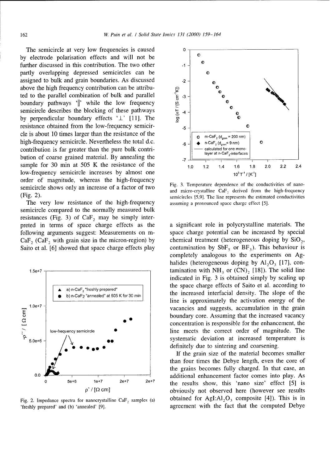The semicircle at very low frequencies is caused **0** by electrode polarisation effects and will not be further discussed in this contribution. The two other **-1** e partly overlapping depressed semicircles can be assigned to bulk and grain boundaries. As discussed  $\qquad 2$ above the high frequency contribution can be attributed to the parallel combination of bulk and parallel boundary pathways  $\parallel$  while the low frequency semicircle describes the blocking of these pathways by perpendicular ted to the parallel combination of bulk and parallel  $\overline{E}$  -3 boundary pathways '||' while the low frequency semicircle describes the blocking of these pathways  $\overline{6}$  4 by perpendicular boundary effects  $' \perp'$  [11]. The resistance obtained from the low-frequency semicir- **-5**  cle is about 10 times larger than the resistance of the  $\sqrt{\frac{1}{2} (d_{\text{gain}} - 200 \text{ nm})}$ high-frequency semicircle. Nevertheless the total d.c.  $\begin{bmatrix} 1 & 1 \end{bmatrix}$   $\begin{bmatrix} 1 & 1 \end{bmatrix}$  n-CaF<sub>2</sub>(d<sub>gram</sub>= 9 nm) contribution is far greater than the pure bulk contri-<br>layer at n-CaF<sub>2</sub>-interfaces bution of coarse grained material. By annealing the  $\frac{7}{17}$ sample for 30 min at 505 K the resistance of the  $\frac{10}{1.0}$   $\frac{12}{1.4}$   $\frac{14}{1.6}$   $\frac{18}{1.8}$  2.0 2.2 2.4 low-frequency semicircle increases by almost one  $10^3 T^1 / [K^1]$ order of magnitude, whereas the high-frequency<br>semicircle shows only an increase of a factor of two<br>and micro-crystalline CaF, derived from the high-frequency

The very low resistance of the high-frequency assuming a pronounced space charge effect [5]. semicircle compared to the normally measured bulk resistances (Fig. 3) of  $CaF<sub>2</sub>$  may be simply interpreted in terms of space charge effects as the a significant role in polycrystalline materials. The





(Fig. 2). semicircles [5,9]. The line represents the estimated conductivities

following arguments suggest: Measurements on m- space charge potential can be increased by special  $CaF_2$  (CaF<sub>2</sub> with grain size in the micron-region) by chemical treatment (heterogeneous doping by SiO<sub>2</sub>, Saito et al. [6] showed that space charge effects play contamination by  $SbF_5$  or  $BF_3$ ). This behaviour is completely analogous to the experiments on Aghalides (heterogeneous doping by  $AI_2O_3$  [17], con- $1.5e+7$   $\uparrow$ indicated in Fig. 3 is obtained simply by scaling up a) n-CaF<sub>2</sub> "freshly prepared" **the space charge effects of Saito et al. according to Aa**) n-CaF<sub>2</sub> "freshly prepared" b) n-CaF<sub>2</sub> "as iny prepared" at 505 K for 30 min the increased interfacial density. The slope of the line is approximately the activation energy of the 1.0e+7  $\frac{1}{1}$  vacancies and suggests, accumulation in the grain boundary core. Assuming that the increased vacancy concentration is responsible for the enhancement, the low-frequency semicircle **0** line meets the correct order of magnitude. The 5.0e+6  $\bigwedge$  **. . . . . . . systematic deviation at increased temperature is** definitely due to sintering and coarsening.

If the grain size of the material becomes smaller than four times the Debye length, even the core of the grains becomes fully charged. In that case, an 0.0 **additional enhancement factor comes into play.** As **0** 5e+6 le+7 2e+7 2e+7 the results show, this 'nano size' effect [5] is p"/ *[2* cm] obviously not observed here (however see results Fig. 2. Impedance spectra for nanocrystalline CaF<sub>2</sub> samples (a) obtained for AgI: $Al_2O_3$  composite [4]). This is in 'freshly prepared' and (b) 'annealed' [9]. agreement with the fact that the computed Debye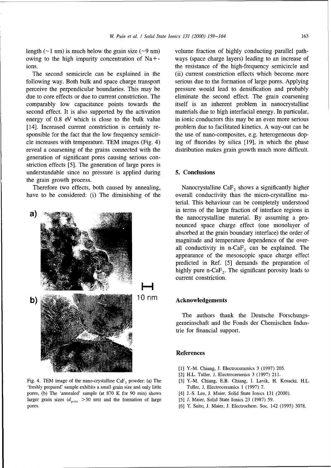owing to the high impurity concentration of Na+- ways (space charge layers) leading to an increase of ions. the resistance of the high-frequency semicircle and

following way. Both bulk and space charge transport serious due to the formation of large pores. Applying perceive the perpendicular boundaries. This may be pressure would lead to densification and probably due to core effects or due to current constriction. The eliminate the second effect. The grain coarsening comparably low capacitance points towards the itself is an inherent problem in nanocrystalline second effect. It is also supported by the activation materials due to high interfacial energy. In particular, energy of 0.8 eV which is close to the bulk value in ionic conductors this may be an even more serious [14]. Increased current constriction is certainly re-<br>problem due to facilitated kinetics. A way-out can be sponsible for the fact that the low frequency semicir-<br>the use of nano-composites, e.g. heterogeneous dopcle increases with temperature. TEM images (Fig. 4) ing of fluorides by silica [19], in which the phase reveal a coarsening of the grains connected with the distribution makes grain growth much more difficult. generation of significant pores causing serious constriction effects [5]. The generation of large pores is understandable since no pressure is applied during 5. Conclusions the grain growth process.

have to be considered: (i) The diminishing of the overall conductivity than the micro-crystalline ma-



Fig. 4. TEM image of the nano-crystalline CaF, powder: (a) The **[31** Y.-M. Chiang, E.B. Chiang, I. Lavik, H. Kosacki, H.L. 'freshly prepared' sample exhibits a small grain size and only little Tuller, J. Electroceramics 1 (1997) 7. pores, (b) The 'annealed' sample (at 870 K for 90 min) shows [4] J.-S. Lee, J. Maier, Solid State Ionics 131 (2000). larger grain sizes (d<sub>grain</sub> > 50 nm) and the formation of large [5] J. Maier, Solid State Ionics 23 (1987) 59. pores. [6] Y. Saito, J. Maier, J. Electrochem. Soc. 142 (1995) 3078.

length  $(\sim 1 \text{ nm})$  is much below the grain size  $(\sim 9 \text{ nm})$  volume fraction of highly conducting parallel path-The second semicircle can be explained in the (ii) current constriction effects which become more

Therefore two effects, both caused by annealing, Nanocrystalline Ca $F<sub>2</sub>$  shows a significantly higher terial. This behaviour can be completely understood in terms of the large fraction of interface regions in the nanocrystalline material. By assuming a pronounced space charge effect (one monolayer of absorbed at the grain boundary interface) the order of magnitude and temperature dependence of the overall conductivity in  $n-CaF<sub>2</sub>$  can be explained. The appearance of the mesoscopic space charge effect predicted in Ref. [5] demands the preparation of highly pure n-Ca $F<sub>2</sub>$ . The significant porosity leads to current constriction.

## **4,1 0** n m **Acknowledgements**

The authors thank the Deutsche Forschungsgemeinschaft and the Fonds der Chemischen Industrie for financial support.

### References

- **[1]** Y.-M. Chiang, J. Electroceramics 3 (1997) 205.
- [2] H.L. Tuller, **J.** Electroceramics 3 (1997) 211.
- 
- 
- 
-